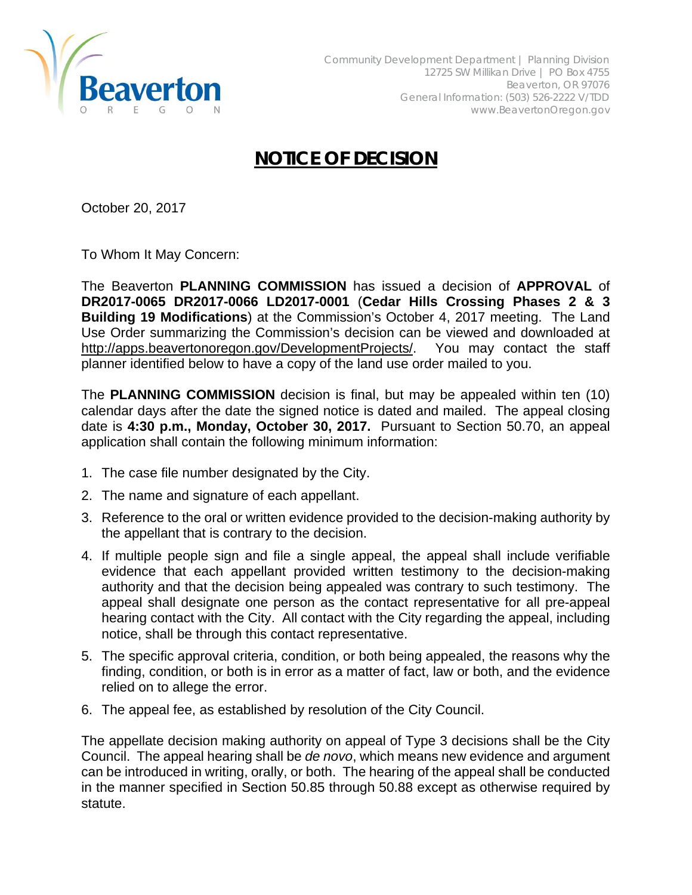

## **NOTICE OF DECISION**

October 20, 2017

To Whom It May Concern:

The Beaverton **PLANNING COMMISSION** has issued a decision of **APPROVAL** of **DR2017-0065 DR2017-0066 LD2017-0001** (**Cedar Hills Crossing Phases 2 & 3 Building 19 Modifications**) at the Commission's October 4, 2017 meeting. The Land Use Order summarizing the Commission's decision can be viewed and downloaded at http://apps.beavertonoregon.gov/DevelopmentProjects/. You may contact the staff planner identified below to have a copy of the land use order mailed to you.

The **PLANNING COMMISSION** decision is final, but may be appealed within ten (10) calendar days after the date the signed notice is dated and mailed. The appeal closing date is **4:30 p.m., Monday, October 30, 2017.** Pursuant to Section 50.70, an appeal application shall contain the following minimum information:

- 1. The case file number designated by the City.
- 2. The name and signature of each appellant.
- 3. Reference to the oral or written evidence provided to the decision-making authority by the appellant that is contrary to the decision.
- 4. If multiple people sign and file a single appeal, the appeal shall include verifiable evidence that each appellant provided written testimony to the decision-making authority and that the decision being appealed was contrary to such testimony. The appeal shall designate one person as the contact representative for all pre-appeal hearing contact with the City. All contact with the City regarding the appeal, including notice, shall be through this contact representative.
- 5. The specific approval criteria, condition, or both being appealed, the reasons why the finding, condition, or both is in error as a matter of fact, law or both, and the evidence relied on to allege the error.
- 6. The appeal fee, as established by resolution of the City Council.

The appellate decision making authority on appeal of Type 3 decisions shall be the City Council. The appeal hearing shall be *de novo*, which means new evidence and argument can be introduced in writing, orally, or both. The hearing of the appeal shall be conducted in the manner specified in Section 50.85 through 50.88 except as otherwise required by statute.